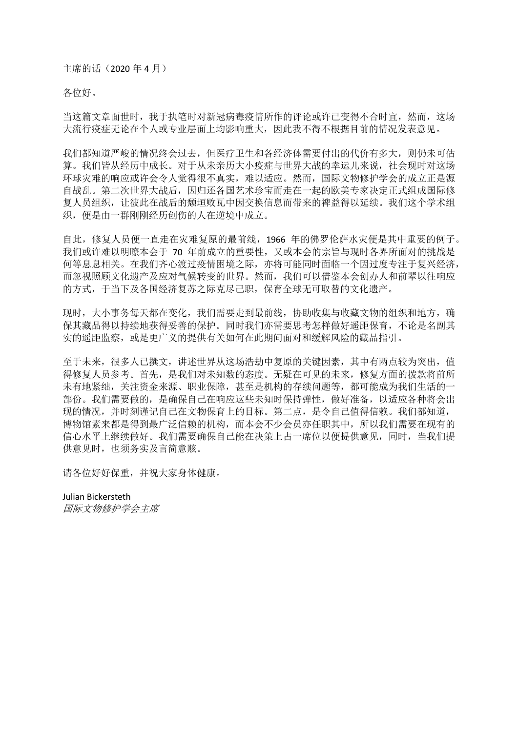主席的话(2020年4月)

各位好。

当这篇文章面世时,我于执笔时对新冠病毒疫情所作的评论或许已变得不合时宜,然而,这场 大流行疫症无论在个人或专业层面上均影响重大,因此我不得不根据目前的情况发表意见。

我们都知道严峻的情况终会过去,但医疗卫生和各经济体需要付出的代价有多大,则仍未可估 算。我们皆从经历中成长。对于从未亲历大小疫症与世界大战的幸运儿来说,社会现时对这场 环球灾难的响应或许会令人觉得很不真实,难以适应。然而,国际文物修护学会的成立正是源 自战乱。第二次世界大战后,因归还各国艺术珍宝而走在一起的欧美专家决定正式组成国际修 复人员组织,让彼此在战后的颓垣败瓦中因交换信息而带来的禆益得以延续。我们这个学术组 织,便是由一群刚刚经历创伤的人在逆境中成立。

自此,修复人员便一直走在灾难复原的最前线,1966 年的佛罗伦萨水灾便是其中重要的例子。 我们或许难以明暸本会于 70 年前成立的重要性,又或本会的宗旨与现时各界所面对的挑战是 何等息息相关。在我们齐心渡过疫情困境之际,亦将可能同时面临一个因过度专注于复兴经济, 而忽视照顾文化遗产及应对气候转变的世界。然而,我们可以借鉴本会创办人和前辈以往响应 的方式,于当下及各国经济复苏之际克尽己职,保育全球无可取替的文化遗产。

现时,大小事务每天都在变化,我们需要走到最前线,协助收集与收藏文物的组织和地方,确 保其藏品得以持续地获得妥善的保护。同时我们亦需要思考怎样做好遥距保育,不论是名副其 实的遥距监察,或是更广义的提供有关如何在此期间面对和缓解风险的藏品指引。

至于未来,很多人已撰文,讲述世界从这场浩劫中复原的关键因素,其中有两点较为突出,值 得修复人员参考。首先,是我们对未知数的态度。无疑在可见的未来,修复方面的拨款将前所 未有地紧绌,关注资金来源、职业保障,甚至是机构的存续问题等,都可能成为我们生活的一 部份。我们需要做的,是确保自己在响应这些未知时保持弹性,做好准备,以适应各种将会出 现的情况,并时刻谨记自己在文物保育上的目标。第二点,是令自己值得信赖。我们都知道, 博物馆素来都是得到最广泛信赖的机构,而本会不少会员亦任职其中,所以我们需要在现有的 信心水平上继续做好。我们需要确保自己能在决策上占一席位以便提供意见,同时,当我们提 供意见时,也须务实及言简意赅。

请各位好好保重,并祝大家身体健康。

Julian Bickersteth 国际文物修护学会主席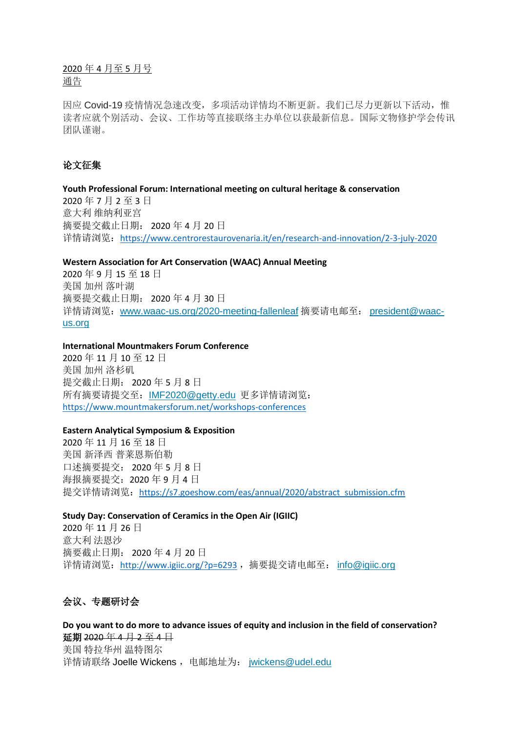2020 年 4 月至 5 月号 通告

因应 Covid-19 疫情情况急速改变, 多项活动详情均不断更新。我们已尽力更新以下活动, 惟 读者应就个别活动、会议、工作坊等直接联络主办单位以获最新信息。国际文物修护学会传讯 团队谨谢。

# 论文征集

**Youth Professional Forum: International meeting on cultural heritage & conservation** 2020 年 7 月 2 至 3 日 意大利 维纳利亚宫 摘要提交截止日期: 2020 年 4 月 20 日 详情请浏览: <https://www.centrorestaurovenaria.it/en/research-and-innovation/2-3-july-2020>

**Western Association for Art Conservation (WAAC) Annual Meeting**

2020 年 9 月 15 至 18 日 美国 加州 落叶湖 摘要提交截止日期: 2020 年 4 月 30 日 详情请浏览:[www.waac-us.org/2020-meeting-fallenleaf](http://www.waac-us.org/2020-meeting-fallenleaf) 摘要请电邮至: [president@waac](mailto:president@waac-us.org)[us.org](mailto:president@waac-us.org)

### **International Mountmakers Forum Conference**

2020 年 11 月 10 至 12 日 美国 加州 洛杉矶 提交截止日期: 2020 年 5 月 8 日 所有摘要请提交至:[IMF2020@getty.edu](mailto:IMF2020@getty.edu) 更多详情请浏览: <https://www.mountmakersforum.net/workshops-conferences>

#### **Eastern Analytical Symposium & Exposition**

2020 年 11 月 16 至 18 日 美国 新泽西 普莱恩斯伯勒 口述摘要提交: 2020 年 5 月 8 日 海报摘要提交: 2020年9月4日 提交详情请浏览: [https://s7.goeshow.com/eas/annual/2020/abstract\\_submission.cfm](https://s7.goeshow.com/eas/annual/2020/abstract_submission.cfm)

**Study Day: Conservation of Ceramics in the Open Air (IGIIC)** 2020 年 11 月 26 日 意大利 法恩沙 摘要截止日期: 2020 年 4 月 20 日 详情请浏览: <http://www.igiic.org/?p=6293>, 摘要提交请电邮至: [info@igiic.org](mailto:info@igiic.org)

# 会议、专题研讨会

**Do you want to do more to advance issues of equity and inclusion in the field of conservation?** 延期 2020 年 4 月 2 至 4 日 美国 特拉华州 温特图尔 详情请联络 Joelle Wickens, 电邮地址为: [jwickens@udel.edu](mailto:jwickens@udel.edu)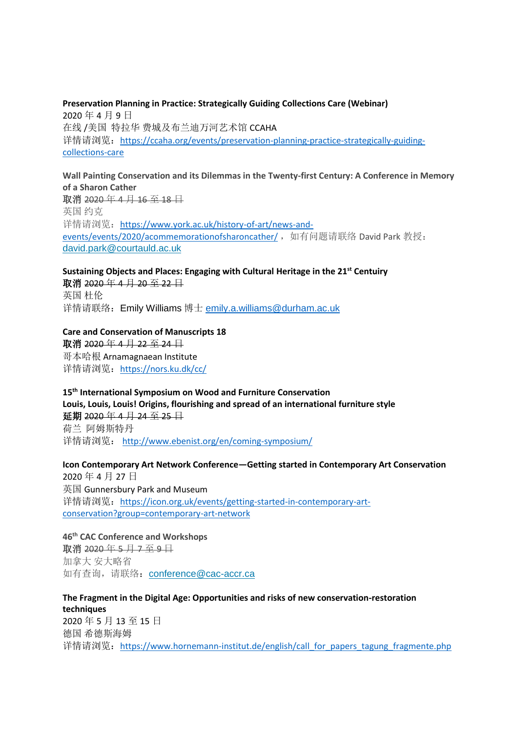**Preservation Planning in Practice: Strategically Guiding Collections Care (Webinar)** 2020 年 4 月 9 日 在线 /美国 特拉华 费城及布兰迪万河艺术馆 CCAHA 详情请浏览: [https://ccaha.org/events/preservation-planning-practice-strategically-guiding](https://ccaha.org/events/preservation-planning-practice-strategically-guiding-collections-care)[collections-care](https://ccaha.org/events/preservation-planning-practice-strategically-guiding-collections-care)

# **Wall Painting Conservation and its Dilemmas in the Twenty-first Century: A Conference in Memory of a Sharon Cather** 取消 2020 年 4 月 16 至 18 日 英国 约克 详情请浏览: [https://www.york.ac.uk/history-of-art/news-and-](https://www.york.ac.uk/history-of-art/news-and-events/events/2020/acommemorationofsharoncather/)

[events/events/2020/acommemorationofsharoncather/](https://www.york.ac.uk/history-of-art/news-and-events/events/2020/acommemorationofsharoncather/), 如有问题请联络 David Park 教授: [david.park@courtauld.ac.uk](mailto:david.park@courtauld.ac.uk)

# **Sustaining Objects and Places: Engaging with Cultural Heritage in the 21st Centuiry** 取消 2020年 4月 20至 22日 英国 杜伦

详情请联络:Emily Williams 博士 [emily.a.williams@durham.ac.uk](mailto:emily.a.williams@durham.ac.uk)

# **Care and Conservation of Manuscripts 18**

取消 2020 年 4 月 22 至 24 日 哥本哈根 Arnamagnaean Institute 详情请浏览:<https://nors.ku.dk/cc/>

# **15th International Symposium on Wood and Furniture Conservation Louis, Louis, Louis! Origins, flourishing and spread of an international furniture style** 延期 2020 年 4 月 24 至 25 日 荷兰 阿姆斯特丹 详情请浏览: <http://www.ebenist.org/en/coming-symposium/>

**Icon Contemporary Art Network Conference—Getting started in Contemporary Art Conservation** 2020 年 4 月 27 日 英国 Gunnersbury Park and Museum 详情请浏览: [https://icon.org.uk/events/getting-started-in-contemporary-art](https://icon.org.uk/events/getting-started-in-contemporary-art-conservation?group=contemporary-art-network)[conservation?group=contemporary-art-network](https://icon.org.uk/events/getting-started-in-contemporary-art-conservation?group=contemporary-art-network)

# **46th CAC Conference and Workshops** 取消 2020年5月7至9日 加拿大 安大略省 如有查询, 请联络: [conference@cac-accr.ca](mailto:conference@cac-accr.ca)

**The Fragment in the Digital Age: Opportunities and risks of new conservation-restoration techniques** 2020 年 5 月 13 至 15 日 德国 希德斯海姆 详情请浏览: https://www.hornemann-institut.de/english/call for papers tagung fragmente.php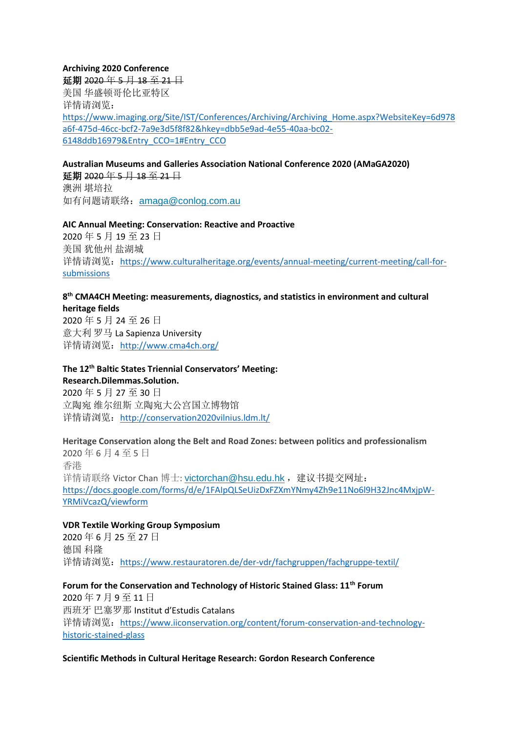**Archiving 2020 Conference** 延期 2020年5月18至21日 美国 华盛顿哥伦比亚特区 详情请浏览: [https://www.imaging.org/Site/IST/Conferences/Archiving/Archiving\\_Home.aspx?WebsiteKey=6d978](https://www.imaging.org/Site/IST/Conferences/Archiving/Archiving_Home.aspx?WebsiteKey=6d978a6f-475d-46cc-bcf2-7a9e3d5f8f82&hkey=dbb5e9ad-4e55-40aa-bc02-6148ddb16979&Entry_CCO=1#Entry_CCO) [a6f-475d-46cc-bcf2-7a9e3d5f8f82&hkey=dbb5e9ad-4e55-40aa-bc02-](https://www.imaging.org/Site/IST/Conferences/Archiving/Archiving_Home.aspx?WebsiteKey=6d978a6f-475d-46cc-bcf2-7a9e3d5f8f82&hkey=dbb5e9ad-4e55-40aa-bc02-6148ddb16979&Entry_CCO=1#Entry_CCO) [6148ddb16979&Entry\\_CCO=1#Entry\\_CCO](https://www.imaging.org/Site/IST/Conferences/Archiving/Archiving_Home.aspx?WebsiteKey=6d978a6f-475d-46cc-bcf2-7a9e3d5f8f82&hkey=dbb5e9ad-4e55-40aa-bc02-6148ddb16979&Entry_CCO=1#Entry_CCO)

**Australian Museums and Galleries Association National Conference 2020 (AMaGA2020)** 延期 2020年5月18至21日 澳洲 堪培拉 如有问题请联络:[amaga@conlog.com.au](mailto:amaga@conlog.com.au)

**AIC Annual Meeting: Conservation: Reactive and Proactive** 2020 年 5 月 19 至 23 日 美国 犹他州 盐湖城 详情请浏览: [https://www.culturalheritage.org/events/annual-meeting/current-meeting/call-for](https://www.culturalheritage.org/events/annual-meeting/current-meeting/call-for-submissions)[submissions](https://www.culturalheritage.org/events/annual-meeting/current-meeting/call-for-submissions)

# **8 th CMA4CH Meeting: measurements, diagnostics, and statistics in environment and cultural heritage fields**

2020 年 5 月 24 至 26 日 意大利 罗马 La Sapienza University 详情请浏览: <http://www.cma4ch.org/>

# **The 12th Baltic States Triennial Conservators' Meeting:**

**Research.Dilemmas.Solution.** 2020 年 5 月 27 至 30 日 立陶宛 维尔纽斯 立陶宛大公宫国立博物馆 详情请浏览: <http://conservation2020vilnius.ldm.lt/>

**Heritage Conservation along the Belt and Road Zones: between politics and professionalism** 2020 年 6 月 4 至 5 日 香港 详情请联络 Victor Chan 博士: [victorchan@hsu.edu.hk](mailto:victorchan@hsu.edu.hk), 建议书提交网址: [https://docs.google.com/forms/d/e/1FAIpQLSeUizDxFZXmYNmy4Zh9e11No6l9H32Jnc4MxjpW-](https://docs.google.com/forms/d/e/1FAIpQLSeUizDxFZXmYNmy4Zh9e11No6l9H32Jnc4MxjpW-YRMiVcazQ/viewform)[YRMiVcazQ/viewform](https://docs.google.com/forms/d/e/1FAIpQLSeUizDxFZXmYNmy4Zh9e11No6l9H32Jnc4MxjpW-YRMiVcazQ/viewform)

# **VDR Textile Working Group Symposium**

2020 年 6 月 25 至 27 日 德国 科隆 详情请浏览: <https://www.restauratoren.de/der-vdr/fachgruppen/fachgruppe-textil/>

**Forum for the Conservation and Technology of Historic Stained Glass: 11th Forum**

2020 年 7 月 9 至 11 日 西班牙 巴塞罗那 Institut d'Estudis Catalans 详情请浏览: [https://www.iiconservation.org/content/forum-conservation-and-technology](https://www.iiconservation.org/content/forum-conservation-and-technology-historic-stained-glass)[historic-stained-glass](https://www.iiconservation.org/content/forum-conservation-and-technology-historic-stained-glass)

**Scientific Methods in Cultural Heritage Research: Gordon Research Conference**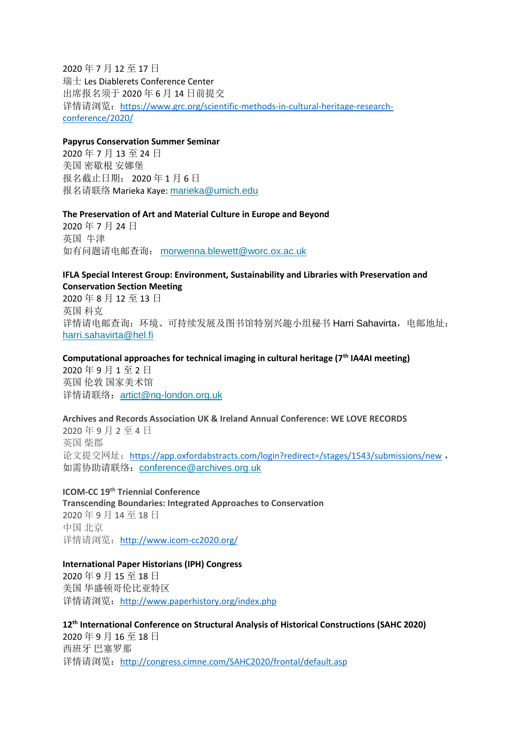2020 年 7 月 12 至 17 日 瑞士 Les Diablerets Conference Center 出席报名须于 2020 年 6 月 14 日前提交 详情请浏览: [https://www.grc.org/scientific-methods-in-cultural-heritage-research](https://www.grc.org/scientific-methods-in-cultural-heritage-research-conference/2020/)[conference/2020/](https://www.grc.org/scientific-methods-in-cultural-heritage-research-conference/2020/)

#### **Papyrus Conservation Summer Seminar**

2020 年 7 月 13 至 24 日 美国 密歇根 安娜堡 报名截止日期: 2020 年 1 月 6 日 报名请联络 Marieka Kaye: [marieka@umich.edu](mailto:marieka@umich.edu)

#### **The Preservation of Art and Material Culture in Europe and Beyond**

2020 年 7 月 24 日 英国 牛津 如有问题请电邮查询: [morwenna.blewett@worc.ox.ac.uk](mailto:morwenna.blewett@worc.ox.ac.uk)

#### **IFLA Special Interest Group: Environment, Sustainability and Libraries with Preservation and Conservation Section Meeting**

2020 年 8 月 12 至 13 日 英国 科克 详情请电邮查询: 环境、可持续发展及图书馆特别兴趣小组秘书 Harri Sahavirta, 电邮地址: [harri.sahavirta@hel.fi](mailto:harri.sahavirta@hel.fi)

**Computational approaches for technical imaging in cultural heritage (7th IA4AI meeting)** 2020 年 9 月 1 至 2 日 英国 伦敦 国家美术馆 详情请联络:[artict@ng-london.org.uk](mailto:artict@ng-london.org.uk)

**Archives and Records Association UK & Ireland Annual Conference: WE LOVE RECORDS** 2020 年 9 月 2 至 4 日 英国 柴郡 论文提交网址: <https://app.oxfordabstracts.com/login?redirect=/stages/1543/submissions/new> , 如需协助请联络: [conference@archives.org.uk](mailto:conference@archives.org.uk)

**ICOM-CC 19th Triennial Conference Transcending Boundaries: Integrated Approaches to Conservation** 2020 年 9 月 14 至 18 日 中国 北京 详情请浏览: <http://www.icom-cc2020.org/>

#### **International Paper Historians (IPH) Congress**

2020 年 9 月 15 至 18 日 美国 华盛顿哥伦比亚特区 详情请浏览: <http://www.paperhistory.org/index.php>

### **12th International Conference on Structural Analysis of Historical Constructions (SAHC 2020)**

2020 年 9 月 16 至 18 日 西班牙 巴塞罗那 详情请浏览: <http://congress.cimne.com/SAHC2020/frontal/default.asp>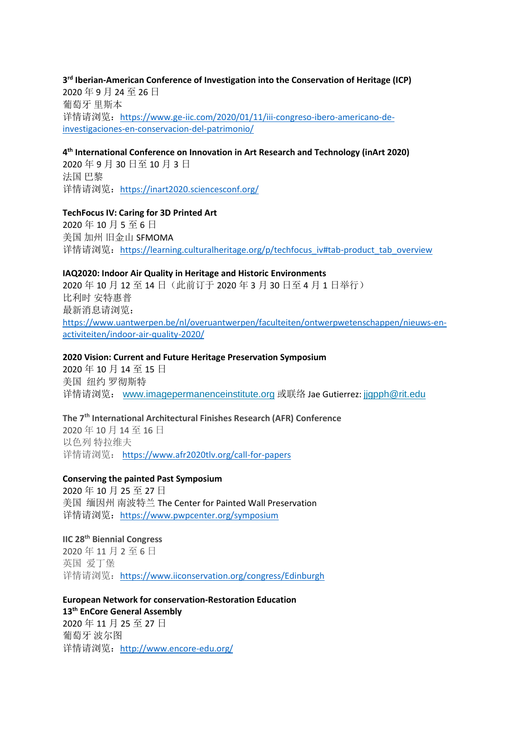# **3 rd Iberian-American Conference of Investigation into the Conservation of Heritage (ICP)** 2020 年 9 月 24 至 26 日 葡萄牙 里斯本 详情请浏览: <u>https://www.ge-iic.com/2020/01/11/iii-congreso-ibero-americano-de-</u> [investigaciones-en-conservacion-del-patrimonio/](https://www.ge-iic.com/2020/01/11/iii-congreso-ibero-americano-de-investigaciones-en-conservacion-del-patrimonio/)

### **4 th International Conference on Innovation in Art Research and Technology (inArt 2020)**

2020 年 9 月 30 日至 10 月 3 日 法国 巴黎 详情请浏览: <https://inart2020.sciencesconf.org/>

## **TechFocus IV: Caring for 3D Printed Art**

2020 年 10 月 5 至 6 日 美国 加州 旧金山 SFMOMA 详情请浏览: [https://learning.culturalheritage.org/p/techfocus\\_iv#tab-product\\_tab\\_overview](https://learning.culturalheritage.org/p/techfocus_iv#tab-product_tab_overview)

## **IAQ2020: Indoor Air Quality in Heritage and Historic Environments**

2020 年 10 月 12 至 14 日(此前订于 2020 年 3 月 30 日至 4 月 1 日举行) 比利时 安特惠普 最新消息请浏览: [https://www.uantwerpen.be/nl/overuantwerpen/faculteiten/ontwerpwetenschappen/nieuws-en](https://www.uantwerpen.be/nl/overuantwerpen/faculteiten/ontwerpwetenschappen/nieuws-en-activiteiten/indoor-air-quality-2020/)[activiteiten/indoor-air-quality-2020/](https://www.uantwerpen.be/nl/overuantwerpen/faculteiten/ontwerpwetenschappen/nieuws-en-activiteiten/indoor-air-quality-2020/)

## **2020 Vision: Current and Future Heritage Preservation Symposium**

2020 年 10 月 14 至 15 日 美国 纽约 罗彻斯特 详情请浏览: [www.imagepermanenceinstitute.org](http://www.imagepermanenceinstitute.org/) 或联络 Jae Gutierrez: jigpph@rit.edu

# **The 7th International Architectural Finishes Research (AFR) Conference**

2020 年 10 月 14 至 16 日 以色列 特拉维夫 详情请浏览: <https://www.afr2020tlv.org/call-for-papers>

# **Conserving the painted Past Symposium**

2020 年 10 月 25 至 27 日 美国 缅因州 南波特兰 The Center for Painted Wall Preservation 详情请浏览: <https://www.pwpcenter.org/symposium>

## **IIC 28th Biennial Congress**

2020 年 11 月 2 至 6 日 英国 爱丁堡 详情请浏览: <https://www.iiconservation.org/congress/Edinburgh>

### **European Network for conservation-Restoration Education 13th EnCore General Assembly**

2020 年 11 月 25 至 27 日 葡萄牙 波尔图 详情请浏览: <http://www.encore-edu.org/>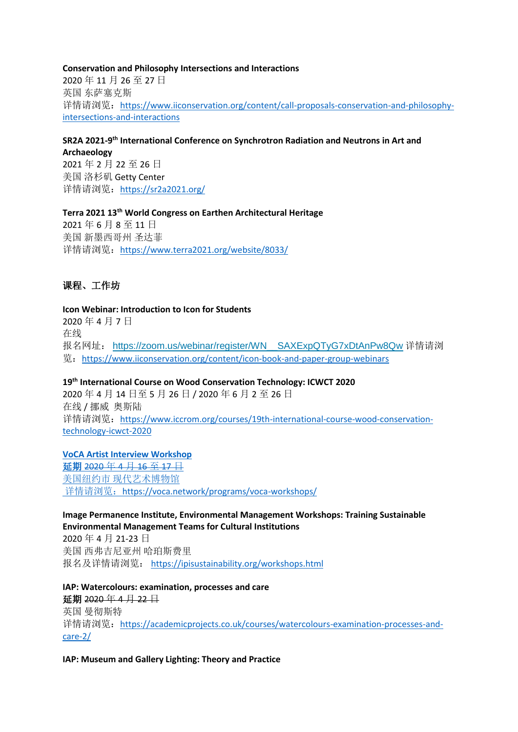**Conservation and Philosophy Intersections and Interactions** 2020 年 11 月 26 至 27 日 英国 东萨塞克斯 详情请浏览: [https://www.iiconservation.org/content/call-proposals-conservation-and-philosophy](https://www.iiconservation.org/content/call-proposals-conservation-and-philosophy-intersections-and-interactions)[intersections-and-interactions](https://www.iiconservation.org/content/call-proposals-conservation-and-philosophy-intersections-and-interactions)

**SR2A 2021-9 th International Conference on Synchrotron Radiation and Neutrons in Art and Archaeology** 2021 年 2 月 22 至 26 日 美国 洛杉矶 Getty Center 详情请浏览: <https://sr2a2021.org/>

**Terra 2021 13th World Congress on Earthen Architectural Heritage** 2021 年 6 月 8 至 11 日 美国 新墨西哥州 圣达菲 详情请浏览: <https://www.terra2021.org/website/8033/>

# 课程、工作坊

## **Icon Webinar: Introduction to Icon for Students**

2020 年 4 月 7 日 在线 报名网址: https://zoom.us/webinar/register/WN\_SAXExpQTyG7xDtAnPw8Qw 详情请浏 览:<https://www.iiconservation.org/content/icon-book-and-paper-group-webinars>

**19th International Course on Wood Conservation Technology: ICWCT 2020**

2020 年 4 月 14 日至 5 月 26 日 / 2020 年 6 月 2 至 26 日 在线 / 挪威 奥斯陆 详情请浏览: [https://www.iccrom.org/courses/19th-international-course-wood-conservation](https://www.iccrom.org/courses/19th-international-course-wood-conservation-technology-icwct-2020)[technology-icwct-2020](https://www.iccrom.org/courses/19th-international-course-wood-conservation-technology-icwct-2020)

#### **VoCA Artist Interview Workshop**

延期 2020 年 4 月 16 至 17 日 美国纽约市 现代艺术博物馆 详情请浏览: <https://voca.network/programs/voca-workshops/>

## **Image Permanence Institute, Environmental Management Workshops: Training Sustainable Environmental Management Teams for Cultural Institutions**

2020 年 4 月 21-23 日 美国 西弗吉尼亚州 哈珀斯费里 报名及详情请浏览: <https://ipisustainability.org/workshops.html>

**IAP: Watercolours: examination, processes and care** 延期 2020 年 4 月 22 日 英国 曼彻斯特 详情请浏览:[https://academicprojects.co.uk/courses/watercolours-examination-processes-and](https://academicprojects.co.uk/courses/watercolours-examination-processes-and-care-2/)[care-2/](https://academicprojects.co.uk/courses/watercolours-examination-processes-and-care-2/)

**IAP: Museum and Gallery Lighting: Theory and Practice**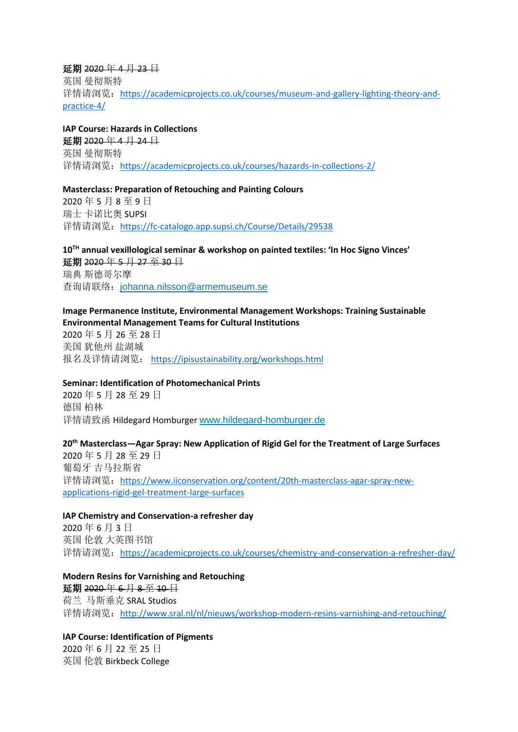### 延期 2020 年 4 月 23 日

英国 曼彻斯特 详情请浏览:[https://academicprojects.co.uk/courses/museum-and-gallery-lighting-theory-and](https://academicprojects.co.uk/courses/museum-and-gallery-lighting-theory-and-practice-4/)[practice-4/](https://academicprojects.co.uk/courses/museum-and-gallery-lighting-theory-and-practice-4/)

# **IAP Course: Hazards in Collections**

延期 2020 年 4 月 24 日 英国 曼彻斯特 详情请浏览: <https://academicprojects.co.uk/courses/hazards-in-collections-2/>

### **Masterclass: Preparation of Retouching and Painting Colours**

2020 年 5 月 8 至 9 日 瑞士 卡诺比奥 SUPSI 详情请浏览: <https://fc-catalogo.app.supsi.ch/Course/Details/29538>

# **10TH annual vexillological seminar & workshop on painted textiles: 'In Hoc Signo Vinces'** 延期 2020年5月 27 至 30 日 瑞典 斯德哥尔摩 查询请联络:[johanna.nilsson@armemuseum.se](mailto:johanna.nilsson@armemuseum.se)

## **Image Permanence Institute, Environmental Management Workshops: Training Sustainable Environmental Management Teams for Cultural Institutions**

2020 年 5 月 26 至 28 日 美国 犹他州 盐湖城 报名及详情请浏览: <https://ipisustainability.org/workshops.html>

# **Seminar: Identification of Photomechanical Prints**

2020 年 5 月 28 至 29 日 德国 柏林 详情请致函 Hildegard Homburger [www.hildegard-homburger.de](http://www.hildegard-homburger.de/)

# **20th Masterclass—Agar Spray: New Application of Rigid Gel for the Treatment of Large Surfaces** 2020 年 5 月 28 至 29 日

葡萄牙 吉马拉斯省 详情请浏览: [https://www.iiconservation.org/content/20th-masterclass-agar-spray-new](https://www.iiconservation.org/content/20th-masterclass-agar-spray-new-applications-rigid-gel-treatment-large-surfaces)[applications-rigid-gel-treatment-large-surfaces](https://www.iiconservation.org/content/20th-masterclass-agar-spray-new-applications-rigid-gel-treatment-large-surfaces)

# **IAP Chemistry and Conservation-a refresher day**

2020 年 6 月 3 日 英国 伦敦 大英图书馆 详情请浏览: <https://academicprojects.co.uk/courses/chemistry-and-conservation-a-refresher-day/>

**Modern Resins for Varnishing and Retouching** 延期 2020 年 6 月 8 至 10 日 荷兰 马斯垂克 SRAL Studios 详情请浏览: <http://www.sral.nl/nl/nieuws/workshop-modern-resins-varnishing-and-retouching/>

**IAP Course: Identification of Pigments** 2020 年 6 月 22 至 25 日 英国 伦敦 Birkbeck College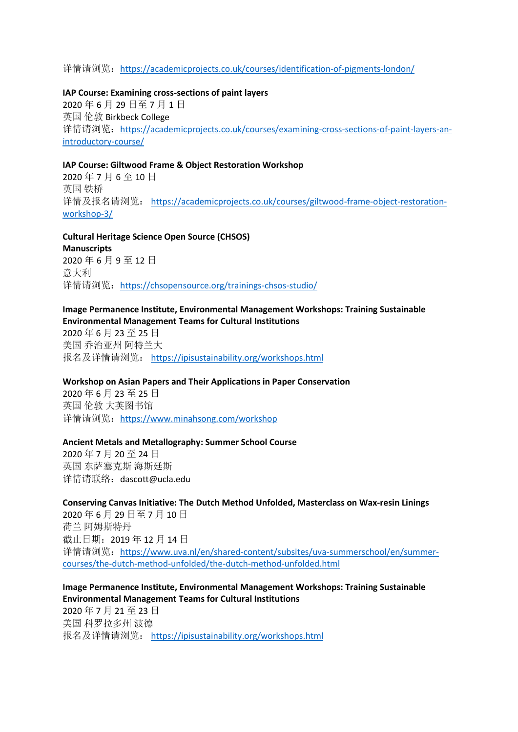### 详情请浏览: <https://academicprojects.co.uk/courses/identification-of-pigments-london/>

#### **IAP Course: Examining cross-sections of paint layers**

2020 年 6 月 29 日至 7 月 1 日 英国 伦敦 Birkbeck College 详情请浏览:[https://academicprojects.co.uk/courses/examining-cross-sections-of-paint-layers-an](https://academicprojects.co.uk/courses/examining-cross-sections-of-paint-layers-an-introductory-course/)[introductory-course/](https://academicprojects.co.uk/courses/examining-cross-sections-of-paint-layers-an-introductory-course/)

#### **IAP Course: Giltwood Frame & Object Restoration Workshop**

2020 年 7 月 6 至 10 日 英国 铁桥 详情及报名请浏览: [https://academicprojects.co.uk/courses/giltwood-frame-object-restoration](https://academicprojects.co.uk/courses/giltwood-frame-object-restoration-workshop-3/)[workshop-3/](https://academicprojects.co.uk/courses/giltwood-frame-object-restoration-workshop-3/)

# **Cultural Heritage Science Open Source (CHSOS) Manuscripts** 2020 年 6 月 9 至 12 日 意大利 详情请浏览: <https://chsopensource.org/trainings-chsos-studio/>

### **Image Permanence Institute, Environmental Management Workshops: Training Sustainable Environmental Management Teams for Cultural Institutions**

2020 年 6 月 23 至 25 日 美国 乔治亚州 阿特兰大 报名及详情请浏览: <https://ipisustainability.org/workshops.html>

#### **Workshop on Asian Papers and Their Applications in Paper Conservation**

2020 年 6 月 23 至 25 日 英国 伦敦 大英图书馆 详情请浏览: <https://www.minahsong.com/workshop>

#### **Ancient Metals and Metallography: Summer School Course**

2020 年 7 月 20 至 24 日 英国 东萨塞克斯 海斯廷斯 详情请联络:dascott@ucla.edu

#### **Conserving Canvas Initiative: The Dutch Method Unfolded, Masterclass on Wax-resin Linings**

2020 年 6 月 29 日至 7 月 10 日 荷兰 阿姆斯特丹 截止日期:2019 年 12 月 14 日 详情请浏览:[https://www.uva.nl/en/shared-content/subsites/uva-summerschool/en/summer](https://www.uva.nl/en/shared-content/subsites/uva-summerschool/en/summer-courses/the-dutch-method-unfolded/the-dutch-method-unfolded.html)[courses/the-dutch-method-unfolded/the-dutch-method-unfolded.html](https://www.uva.nl/en/shared-content/subsites/uva-summerschool/en/summer-courses/the-dutch-method-unfolded/the-dutch-method-unfolded.html)

## **Image Permanence Institute, Environmental Management Workshops: Training Sustainable Environmental Management Teams for Cultural Institutions**

2020 年 7 月 21 至 23 日 美国 科罗拉多州 波德 报名及详情请浏览: <https://ipisustainability.org/workshops.html>